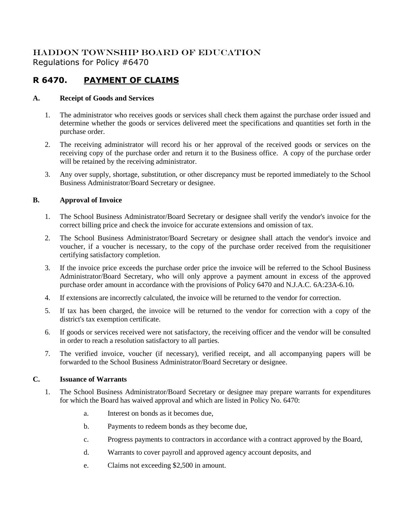## HADDON TOWNSHIP BOARD OF EDUCATION Regulations for Policy #6470

# **R 6470. PAYMENT OF CLAIMS**

### **A. Receipt of Goods and Services**

- 1. The administrator who receives goods or services shall check them against the purchase order issued and determine whether the goods or services delivered meet the specifications and quantities set forth in the purchase order.
- 2. The receiving administrator will record his or her approval of the received goods or services on the receiving copy of the purchase order and return it to the Business office. A copy of the purchase order will be retained by the receiving administrator.
- 3. Any over supply, shortage, substitution, or other discrepancy must be reported immediately to the School Business Administrator/Board Secretary or designee.

### **B. Approval of Invoice**

- 1. The School Business Administrator/Board Secretary or designee shall verify the vendor's invoice for the correct billing price and check the invoice for accurate extensions and omission of tax.
- 2. The School Business Administrator/Board Secretary or designee shall attach the vendor's invoice and voucher, if a voucher is necessary, to the copy of the purchase order received from the requisitioner certifying satisfactory completion.
- 3. If the invoice price exceeds the purchase order price the invoice will be referred to the School Business Administrator/Board Secretary, who will only approve a payment amount in excess of the approved purchase order amount in accordance with the provisions of Policy 6470 and N.J.A.C. 6A:23A-6.10.
- 4. If extensions are incorrectly calculated, the invoice will be returned to the vendor for correction.
- 5. If tax has been charged, the invoice will be returned to the vendor for correction with a copy of the district's tax exemption certificate.
- 6. If goods or services received were not satisfactory, the receiving officer and the vendor will be consulted in order to reach a resolution satisfactory to all parties.
- 7. The verified invoice, voucher (if necessary), verified receipt, and all accompanying papers will be forwarded to the School Business Administrator/Board Secretary or designee.

### **C. Issuance of Warrants**

- 1. The School Business Administrator/Board Secretary or designee may prepare warrants for expenditures for which the Board has waived approval and which are listed in Policy No. 6470:
	- a. Interest on bonds as it becomes due,
	- b. Payments to redeem bonds as they become due,
	- c. Progress payments to contractors in accordance with a contract approved by the Board,
	- d. Warrants to cover payroll and approved agency account deposits, and
	- e. Claims not exceeding \$2,500 in amount.